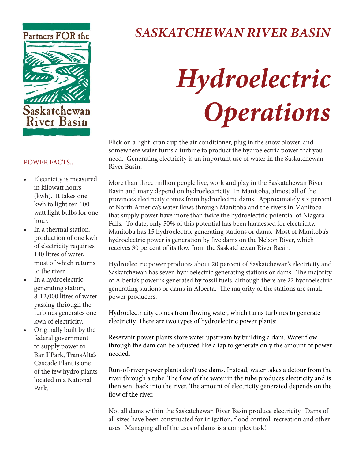

## *SASKATCHEWAN RIVER BASIN*

# *Hydroelectric Operations*

Flick on a light, crank up the air conditioner, plug in the snow blower, and somewhere water turns a turbine to product the hydroelectric power that you need. Generating electricity is an important use of water in the Saskatchewan River Basin.

More than three million people live, work and play in the Saskatchewan River Basin and many depend on hydroelectricity. In Manitoba, almost all of the province's electricity comes from hydroelectric dams. Approximately six percent of North America's water flows through Manitoba and the rivers in Manitoba that supply power have more than twice the hydroelectric potential of Niagara Falls. To date, only 50% of this potential has been harnessed for electricity. Manitoba has 15 hydroelectric generating stations or dams. Most of Manitoba's hydroelectric power is generation by five dams on the Nelson River, which receives 30 percent of its flow from the Saskatchewan River Basin.

Hydroelectric power produces about 20 percent of Saskatchewan's electricity and Saskatchewan has seven hydroelectric generating stations or dams. The majority of Alberta's power is generated by fossil fuels, although there are 22 hydroelectric generating stations or dams in Alberta. The majority of the stations are small power producers.

Hydroelectricity comes from flowing water, which turns turbines to generate electricity. There are two types of hydroelectric power plants:

Reservoir power plants store water upstream by building a dam. Water flow through the dam can be adjusted like a tap to generate only the amount of power needed.

Run-of-river power plants don't use dams. Instead, water takes a detour from the river through a tube. The flow of the water in the tube produces electricity and is then sent back into the river. The amount of electricity generated depends on the flow of the river.

Not all dams within the Saskatchewan River Basin produce electricity. Dams of all sizes have been constructed for irrigation, flood control, recreation and other uses. Managing all of the uses of dams is a complex task!

#### POWER FACTS...

- Electricity is measured in kilowatt hours (kwh). It takes one kwh to light ten 100 watt light bulbs for one hour.
- In a thermal station, production of one kwh of electricity requiries 140 litres of water, most of which returns to the river.
- In a hydroelectric generating station, 8-12,000 litres of water passing thriough the turbines generates one kwh of electricity.
- Originally built by the federal government to supply power to Banff Park, TransAlta's Cascade Plant is one of the few hydro plants located in a National Park.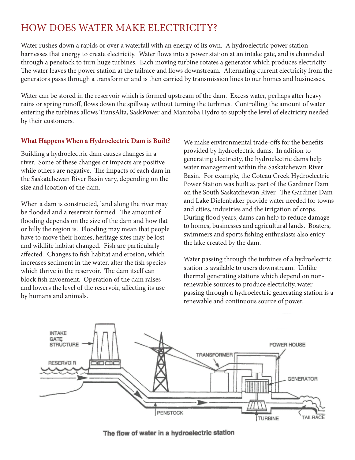### HOW DOES WATER MAKE ELECTRICITY?

Water rushes down a rapids or over a waterfall with an energy of its own. A hydroelectric power station harnesses that energy to create electricity. Water flows into a power station at an intake gate, and is channeled through a penstock to turn huge turbines. Each moving turbine rotates a generator which produces electricity. The water leaves the power station at the tailrace and flows downstream. Alternating current electricity from the generators passs through a transformer and is then carried by transmission lines to our homes and businesses.

Water can be stored in the reservoir which is formed upstream of the dam. Excess water, perhaps after heavy rains or spring runoff, flows down the spillway without turning the turbines. Controlling the amount of water entering the turbines allows TransAlta, SaskPower and Manitoba Hydro to supply the level of electricity needed by their customers.

#### **What Happens When a Hydroelectric Dam is Built?**

Building a hydroelectric dam causes changes in a river. Some of these changes or impacts are positive while others are negative. The impacts of each dam in the Saskatchewan River Basin vary, depending on the size and lcoation of the dam.

When a dam is constructed, land along the river may be flooded and a reservoir formed. The amount of flooding depends on the size of the dam and how flat or hilly the region is. Flooding may mean that people have to move their homes, heritage sites may be lost and wildlife habitat changed. Fish are particularly affected. Changes to fish habitat and erosion, which increases sediment in the water, alter the fish species which thrive in the reservoir. The dam itself can block fish myoement. Operation of the dam raises and lowers the level of the reservoir, affecting its use by humans and animals.

We make environmental trade-offs for the benefits provided by hydroelectric dams. In adition to generating electricity, the hydroelectric dams help water management within the Saskatchewan River Basin. For example, the Coteau Creek Hydroelectric Power Station was built as part of the Gardiner Dam on the South Saskatchewan River. The Gardiner Dam and Lake Diefenbaker provide water needed for towns and cities, industries and the irrigation of crops. During flood years, dams can help to reduce damage to homes, businesses and agricultural lands. Boaters, swimmers and sports fishing enthusiasts also enjoy the lake created by the dam.

Water passing through the turbines of a hydroelectric station is available to users downstream. Unlike thermal generating stations which depend on nonrenewable sources to produce electricity, water passing through a hydroelectric generating station is a renewable and continuous source of power.



The flow of water in a hydroelectric station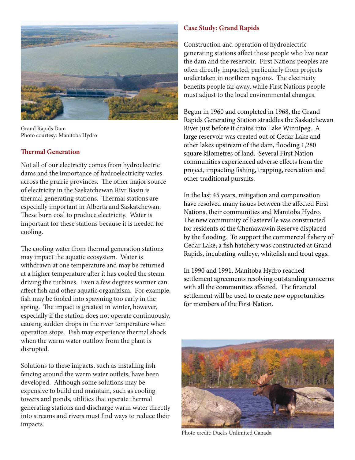

Grand Rapids Dam Photo courtesy: Manitoba Hydro

#### **Th ermal Generation**

Not all of our electricity comes from hydroelectric dams and the importance of hydroelectricity varies across the prairie provinces. The other major source of electricity in the Saskatchewan Rivr Basin is thermal generating stations. Thermal stations are especially important in Alberta and Saskatchewan. These burn coal to produce electricity. Water is important for these stations because it is needed for cooling.

The cooling water from thermal generation stations may impact the aquatic ecosystem. Water is withdrawn at one temperature and may be returned at a higher temperature after it has cooled the steam driving the turbines. Even a few degrees warmer can affect fish and other aquatic organizism. For example, fish may be fooled into spawning too early in the spring. The impact is greatest in winter, however, especially if the station does not operate continuously, causing sudden drops in the river temperature when operation stops. Fish may experience thermal shock when the warm water outflow from the plant is disrupted.

Solutions to these impacts, such as installing fish fencing around the warm water outlets, have been developed. Although some solutions may be expensive to build and maintain, such as cooling towers and ponds, utilities that operate thermal generating stations and discharge warm water directly into streams and rivers must find ways to reduce their impacts.

#### **Case Study: Grand Rapids**

Construction and operation of hydroelectric generating stations affect those people who live near the dam and the reservoir. First Nations peoples are often directly impacted, particularly from projects undertaken in northern regions. The electricity benefits people far away, while First Nations people must adjust to the local environmental changes.

Begun in 1960 and completed in 1968, the Grand Rapids Generating Station straddles the Saskatchewan River just before it drains into Lake Winnipeg. A large reservoir was created out of Cedar Lake and other lakes upstream of the dam, flooding 1,280 square kilometres of land. Several First Nation communities experienced adverse effects from the project, impacting fishing, trapping, recreation and other traditional pursuits.

In the last 45 years, mitigation and compensation have resolved many issues between the affected First Nations, their communities and Manitoba Hydro. The new community of Easterville was constructed for residents of the Chemawawin Reserve displaced by the flooding. To support the commercial fishery of Cedar Lake, a fish hatchery was constructed at Grand Rapids, incubating walleye, whitefish and trout eggs.

In 1990 and 1991, Manitoba Hydro reached settlement agreements resolving outstanding concerns with all the communities affected. The financial settlement will be used to create new opportunities for members of the First Nation.



Photo credit: Ducks Unlimited Canada